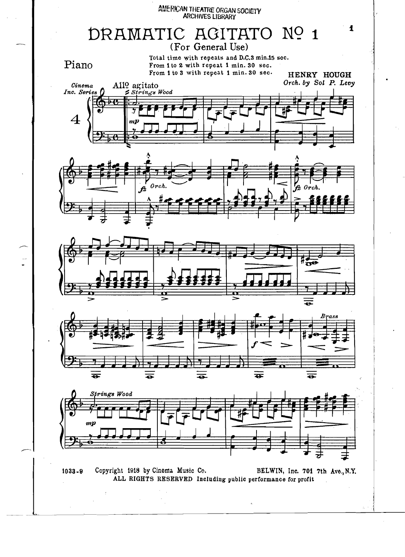## DRAMATIC AGITATO Nº 1 (For General Use)

Piano

Total time with repeats and D.C.3 min.15 sec. From 1 to 2 with repeat 1 min. 30 sec. From 1 to 3 with repeat 1 min. 30 sec.

**HENRY HOUGH** Orch. by Sol P. Levy











Copyright 1918 by Cinema Music Co.  $1033 - 9$ BELWIN, Inc. 701 7th Ave., N.Y. ALL RIGHTS RESERVED Including public performance for profit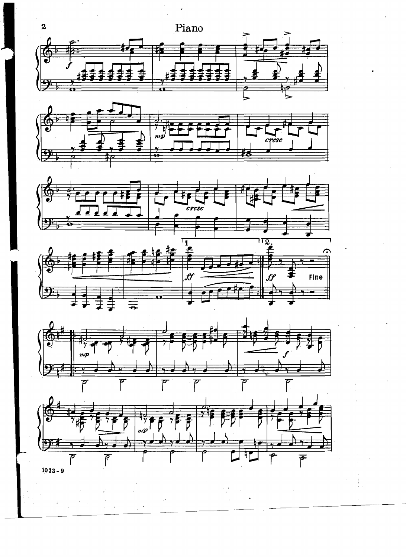











 $1033 - 9$